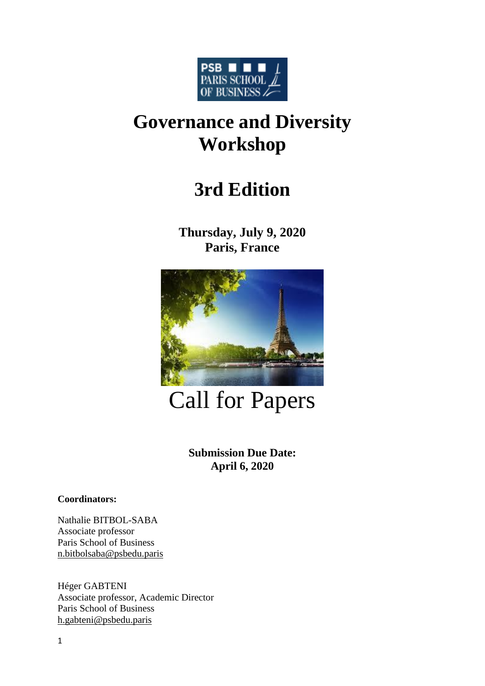

# **Governance and Diversity Workshop**

## **3rd Edition**

**Thursday, July 9, 2020 Paris, France**



Call for Papers

**Submission Due Date: April 6, 2020**

**Coordinators:** 

Nathalie BITBOL-SABA Associate professor Paris School of Business [n.bitbolsaba@psbedu.paris](mailto:n.bitbolsaba@psbedu.paris)

Héger GABTENI Associate professor, Academic Director Paris School of Business [h.gabteni@psbedu.paris](mailto:h.gabteni@psbedu.paris)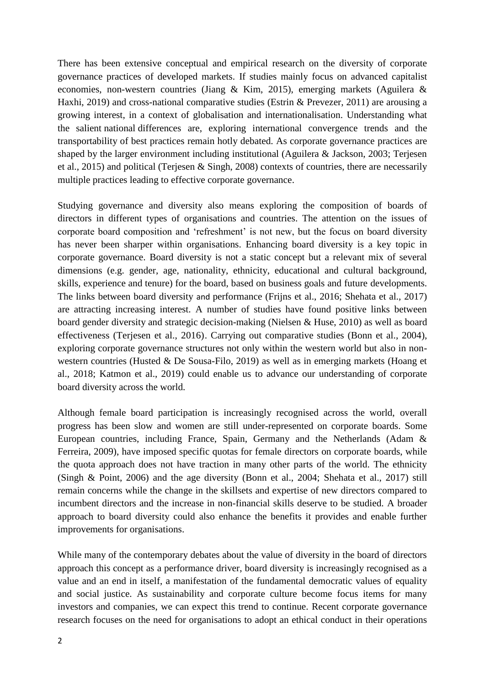There has been extensive conceptual and empirical research on the diversity of corporate governance practices of developed markets. If studies mainly focus on advanced capitalist economies, non-western countries (Jiang & Kim, 2015), emerging markets (Aguilera & Haxhi, 2019) and cross-national comparative studies (Estrin & Prevezer, 2011) are arousing a growing interest, in a context of globalisation and internationalisation. Understanding what the salient national differences are, exploring international convergence trends and the transportability of best practices remain hotly debated. As corporate governance practices are shaped by the larger environment including institutional (Aguilera & Jackson, 2003; Terjesen et al., 2015) and political (Terjesen & Singh, 2008) contexts of countries, there are necessarily multiple practices leading to effective corporate governance.

Studying governance and diversity also means exploring the composition of boards of directors in different types of organisations and countries. The attention on the issues of corporate board composition and 'refreshment' is not new, but the focus on board diversity has never been sharper within organisations. Enhancing board diversity is a key topic in corporate governance. Board diversity is not a static concept but a relevant mix of several dimensions (e.g. gender, age, nationality, ethnicity, educational and cultural background, skills, experience and tenure) for the board, based on business goals and future developments. The links between board diversity and performance (Frijns et al., 2016; Shehata et al., 2017) are attracting increasing interest. A number of studies have found positive links between board gender diversity and strategic decision-making (Nielsen & Huse, 2010) as well as board effectiveness (Terjesen et al., 2016). Carrying out comparative studies (Bonn et al., 2004), exploring corporate governance structures not only within the western world but also in nonwestern countries (Husted & De Sousa-Filo, 2019) as well as in emerging markets (Hoang et al., 2018; Katmon et al., 2019) could enable us to advance our understanding of corporate board diversity across the world.

Although female board participation is increasingly recognised across the world, overall progress has been slow and women are still under-represented on corporate boards. Some European countries, including France, Spain, Germany and the Netherlands (Adam & Ferreira, 2009), have imposed specific quotas for female directors on corporate boards, while the quota approach does not have traction in many other parts of the world. The ethnicity (Singh & Point, 2006) and the age diversity (Bonn et al., 2004; Shehata et al., 2017) still remain concerns while the change in the skillsets and expertise of new directors compared to incumbent directors and the increase in non-financial skills deserve to be studied. A broader approach to board diversity could also enhance the benefits it provides and enable further improvements for organisations.

While many of the contemporary debates about the value of diversity in the board of directors approach this concept as a performance driver, board diversity is increasingly recognised as a value and an end in itself, a manifestation of the fundamental democratic values of equality and social justice. As sustainability and corporate culture become focus items for many investors and companies, we can expect this trend to continue. Recent corporate governance research focuses on the need for organisations to adopt an ethical conduct in their operations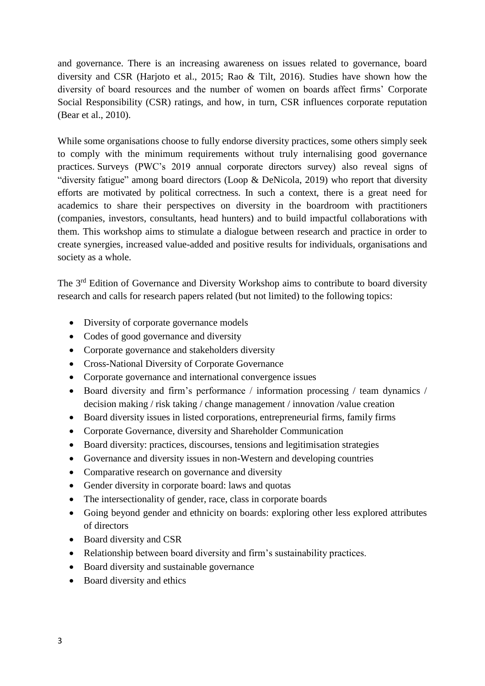and governance. There is an increasing awareness on issues related to governance, board diversity and CSR (Harjoto et al., 2015; Rao & Tilt, 2016). Studies have shown how the diversity of board resources and the number of women on boards affect firms' Corporate Social Responsibility (CSR) ratings, and how, in turn, CSR influences corporate reputation (Bear et al., 2010).

While some organisations choose to fully endorse diversity practices, some others simply seek to comply with the minimum requirements without truly internalising good governance practices. Surveys (PWC's 2019 annual corporate directors survey) also reveal signs of "diversity fatigue" among board directors (Loop & DeNicola, 2019) who report that diversity efforts are motivated by political correctness. In such a context, there is a great need for academics to share their perspectives on diversity in the boardroom with practitioners (companies, investors, consultants, head hunters) and to build impactful collaborations with them. This workshop aims to stimulate a dialogue between research and practice in order to create synergies, increased value-added and positive results for individuals, organisations and society as a whole.

The 3<sup>rd</sup> Edition of Governance and Diversity Workshop aims to contribute to board diversity research and calls for research papers related (but not limited) to the following topics:

- Diversity of corporate governance models
- Codes of good governance and diversity
- Corporate governance and stakeholders diversity
- Cross-National Diversity of Corporate Governance
- Corporate governance and international convergence issues
- Board diversity and firm's performance / information processing / team dynamics / decision making / risk taking / change management / innovation /value creation
- Board diversity issues in listed corporations, entrepreneurial firms, family firms
- Corporate Governance, diversity and Shareholder Communication
- Board diversity: practices, discourses, tensions and legitimisation strategies
- Governance and diversity issues in non-Western and developing countries
- Comparative research on governance and diversity
- Gender diversity in corporate board: laws and quotas
- The intersectionality of gender, race, class in corporate boards
- Going beyond gender and ethnicity on boards: exploring other less explored attributes of directors
- Board diversity and CSR
- Relationship between board diversity and firm's sustainability practices.
- Board diversity and sustainable governance
- Board diversity and ethics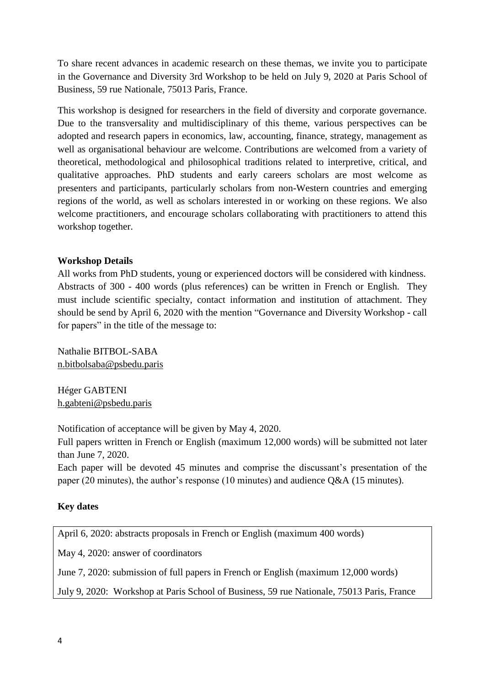To share recent advances in academic research on these themas, we invite you to participate in the Governance and Diversity 3rd Workshop to be held on July 9, 2020 at Paris School of Business, 59 rue Nationale, 75013 Paris, France.

This workshop is designed for researchers in the field of diversity and corporate governance. Due to the transversality and multidisciplinary of this theme, various perspectives can be adopted and research papers in economics, law, accounting, finance, strategy, management as well as organisational behaviour are welcome. Contributions are welcomed from a variety of theoretical, methodological and philosophical traditions related to interpretive, critical, and qualitative approaches. PhD students and early careers scholars are most welcome as presenters and participants, particularly scholars from non-Western countries and emerging regions of the world, as well as scholars interested in or working on these regions. We also welcome practitioners, and encourage scholars collaborating with practitioners to attend this workshop together.

### **Workshop Details**

All works from PhD students, young or experienced doctors will be considered with kindness. Abstracts of 300 - 400 words (plus references) can be written in French or English. They must include scientific specialty, contact information and institution of attachment. They should be send by April 6, 2020 with the mention "Governance and Diversity Workshop - call for papers" in the title of the message to:

Nathalie BITBOL-SABA [n.bitbolsaba@psbedu.paris](mailto:n.bitbolsaba@psbedu.paris)

Héger GABTENI [h.gabteni@psbedu.paris](mailto:h.gabteni@psbedu.paris)

Notification of acceptance will be given by May 4, 2020.

Full papers written in French or English (maximum 12,000 words) will be submitted not later than June 7, 2020.

Each paper will be devoted 45 minutes and comprise the discussant's presentation of the paper (20 minutes), the author's response (10 minutes) and audience Q&A (15 minutes).

### **Key dates**

April 6, 2020: abstracts proposals in French or English (maximum 400 words)

May 4, 2020: answer of coordinators

June 7, 2020: submission of full papers in French or English (maximum 12,000 words)

July 9, 2020: Workshop at Paris School of Business, 59 rue Nationale, 75013 Paris, France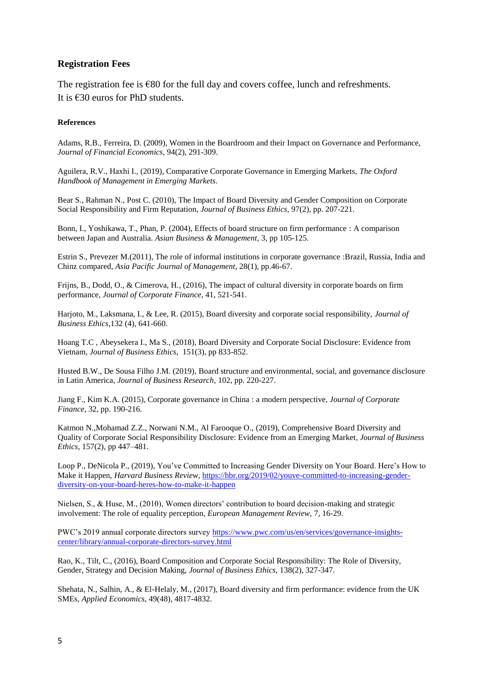#### **Registration Fees**

The registration fee is  $\epsilon$ 80 for the full day and covers coffee, lunch and refreshments. It is  $\epsilon$ 30 euros for PhD students.

#### **References**

Adams, R.B., Ferreira, D. (2009), Women in the Boardroom and their Impact on Governance and Performance, *Journal of Financial Economics*, 94(2), 291-309.

Aguilera, R.V., Haxhi I., (2019), Comparative Corporate Governance in Emerging Markets, *[The Oxford](https://www.oxfordhandbooks.com/view/10.1093/oxfordhb/9780190683948.001.0001/oxfordhb-9780190683948)  [Handbook of Management in Emerging Markets.](https://www.oxfordhandbooks.com/view/10.1093/oxfordhb/9780190683948.001.0001/oxfordhb-9780190683948)*

Bear S., Rahman N., Post C. (2010), The Impact of Board Diversity and Gender Composition on Corporate Social Responsibility and Firm Reputation, *Journal of Business Ethics*, 97(2), pp. 207-221.

Bonn, I., Yoshikawa, T., Phan, P. (2004), Effects of board structure on firm performance : A comparison between Japan and Australia. *Asian Business & Management*, 3, pp 105-125.

Estrin S., Prevezer M.(2011), The role of informal institutions in corporate governance :Brazil, Russia, India and Chinz compared, *Asia Pacific Journal of Management*, 28(1), pp.46-67.

Frijns, B., Dodd, O., & Cimerova, H., (2016), The impact of cultural diversity in corporate boards on firm performance, *Journal of Corporate Finance,* 41, 521-541.

Harjoto, M., Laksmana, I., & Lee, R. (2015), Board diversity and corporate social responsibility, *Journal of Business Ethics*,132 (4), 641-660.

Hoang T.C , Abeysekera I., Ma S., (2018), Board Diversity and Corporate Social Disclosure: Evidence from Vietnam, *[Journal of Business Ethics](https://www.researchgate.net/journal/1573-0697_Journal_of_Business_Ethics?_sg=4Cmc_A7GB9bhLgRd6t8m6qgjnJZ-BwtWBpJkR-V6P9b-L-hxuh20JFwlTJvvS8wWlqTaJWx1sBj89ca9JS4MNt-kXLUuRB0.z5sDusW8qXeIwsgiIA5FI9iLeHLnhF0zw6ZbvjT3QSNtZCqtGDqIIaDCgDgm4us9ASErj20gkWbgLLrTaJpW1w)*, 151(3), pp 833-852.

Husted B.W., De Sousa Filho J.M. (2019), Board structure and environmental, social, and governance disclosure in Latin America, *[Journal of Business Research](https://www.sciencedirect.com/science/journal/01482963)*, [102,](https://www.sciencedirect.com/science/journal/01482963/102/supp/C) pp. 220-227.

Jiang F., Kim K.A. (2015), Corporate governance in China : a modern perspective, *Journal of Corporate Finance*, 32, pp. 190-216.

Katmon N.,Mohamad Z.Z., Norwani N.M., Al Farooque O., (2019), Comprehensive Board Diversity and Quality of Corporate Social Responsibility Disclosure: Evidence from an Emerging Market, *[Journal of Business](https://link.springer.com/journal/10551)  [Ethics](https://link.springer.com/journal/10551)*, 157(2), pp 447–481.

Loop P., DeNicola P., (2019), You've Committed to Increasing Gender Diversity on Your Board. Here's How to Make it Happen, *Harvard Business Review*, [https://hbr.org/2019/02/youve-committed-to-increasing-gender](https://hbr.org/2019/02/youve-committed-to-increasing-gender-diversity-on-your-board-heres-how-to-make-it-happen)[diversity-on-your-board-heres-how-to-make-it-happen](https://hbr.org/2019/02/youve-committed-to-increasing-gender-diversity-on-your-board-heres-how-to-make-it-happen)

Nielsen, S., & Huse, M., (2010), Women directors' contribution to board decision-making and strategic involvement: The role of equality perception*, European Management Review,* 7, 16-29.

PWC's 2019 annual corporate directors survey [https://www.pwc.com/us/en/services/governance-insights](https://www.pwc.com/us/en/services/governance-insights-center/library/annual-corporate-directors-survey.html)[center/library/annual-corporate-directors-survey.html](https://www.pwc.com/us/en/services/governance-insights-center/library/annual-corporate-directors-survey.html)

Rao, K., Tilt, C., (2016), Board Composition and Corporate Social Responsibility: The Role of Diversity, Gender, Strategy and Decision Making, *Journal of Business Ethics*, 138(2), 327-347.

Shehata, N., Salhin, A., & El-Helaly, M., (2017), Board diversity and firm performance: evidence from the UK SMEs, *Applied Economics*, 49(48), 4817-4832.